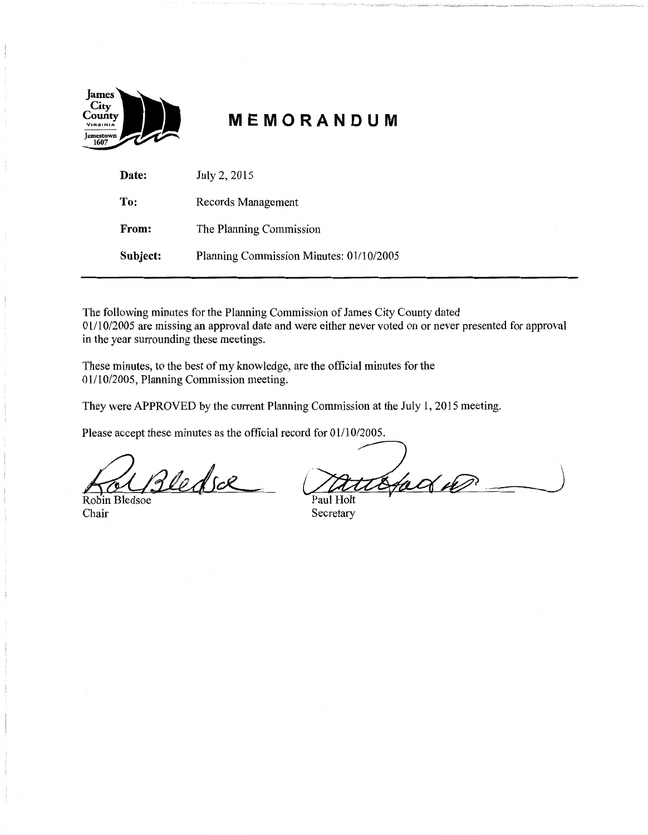

# **MEMORANDUM**

| Date:    | July 2, 2015                            |
|----------|-----------------------------------------|
| To:      | Records Management                      |
| From:    | The Planning Commission                 |
| Subject: | Planning Commission Minutes: 01/10/2005 |

The following minutes for the Planning Commission of James City County dated 01/10/2005 are missing an approval date and were either never voted on or never presented for approval in the year surrounding these meetings.

These minutes, to the best of my knowledge, are the official minutes for the 01/10/2005, Planning Commission meeting.

They were APPROVED by the current Planning Commission at the July 1, 2015 meeting.

Please accept these minutes as the official record for 01/10/2005.

Bledsæ

Robin Bledsoe Chair Secretary

stad 10 Paul Holt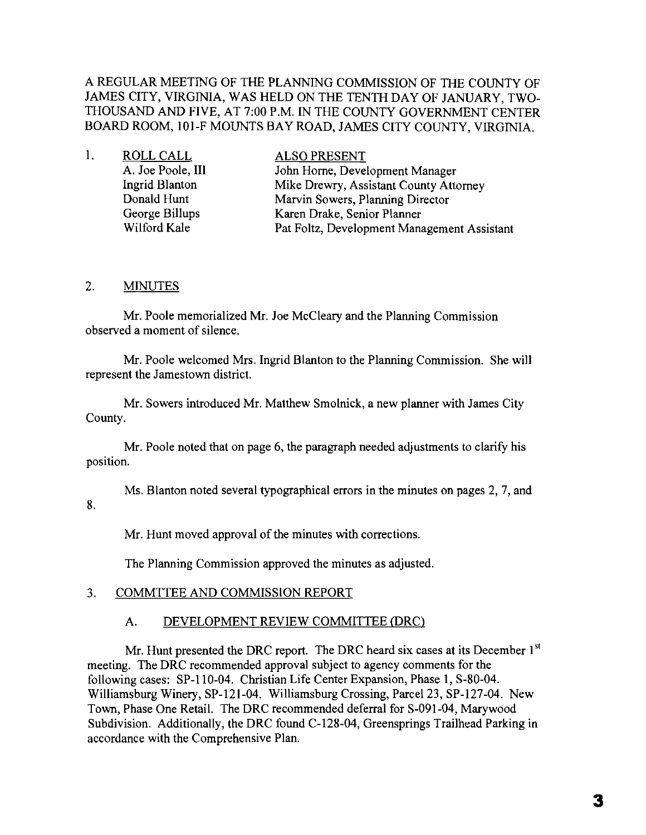### A REGULAR MEETING OF THE PLANNING COMMISSION OF THE COUNTY OF JAMES CITY, VIRGINIA, WAS HELD ON THE TENTH DAY OF JANUARY, TWO-THOUSAND AND FIVE, AT 7:00 P.M. IN THE COUNTY GOVERNMENT CENTER BOARD ROOM, 10l-F MOUNTS BAY ROAD, JAMES CITY COUNTY, VIRGINIA.

| ROLL CALL         | <b>ALSO PRESENT</b>                         |
|-------------------|---------------------------------------------|
| A. Joe Poole, III | John Horne, Development Manager             |
| Ingrid Blanton    | Mike Drewry, Assistant County Attorney      |
| Donald Hunt       | Marvin Sowers, Planning Director            |
| George Billups    | Karen Drake, Senior Planner                 |
| Wilford Kale      | Pat Foltz, Development Management Assistant |
|                   |                                             |

## 2. **MINUTES**

Mr. Poole memorialized Mr. Joe McCleary and the Planning Commission observed a moment of silence.

Mr. Poole welcomed Mrs. Ingrid Blanton to the Planning Commission. She will represent the Jamestown district.

Mr. Sowers introduced Mr. Matthew Smolnick, a new planner with James City County.

Mr. Poole noted that on page 6, the paragraph needed adjustments to clarify his position.

Ms. Blanton noted several typographical errors in the minutes on pages 2, 7, and 8.

Mr. Hunt moved approval of the minutes with corrections.

The Planning Commission approved the minutes as adjusted.

### 3. COMMTTEE AND COMMISSION REPORT

### A. DEVELOPMENT REVIEW COMMITTEE (DRC)

Mr. Hunt presented the DRC report. The DRC heard six cases at its December  $1^{st}$ meeting. The DRC recommended approval subject to agency comments for the following cases: SP-IIO-04. Christian Life Center Expansion, Phase **I,** S-80-04. Williamsburg Winery, SP-121-04. Williamsburg Crossing, Parcel 23, SP-127-04. New Town, Phase One Retail. The DRC recommended deferral for S-091-04, Marywood Subdivision. Additionally, the DRC found C-128-04, Greensprings Trailhead Parking in accordance with the Comprehensive Plan.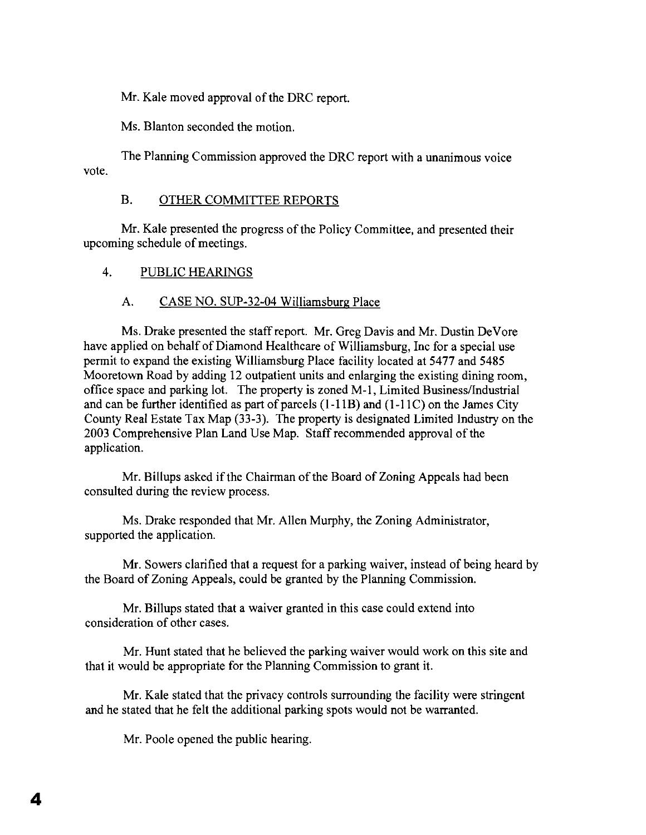Mr. Kale moved approval of the DRC report.

Ms. Blanton seconded the motion.

The Planning Commission approved the DRC report with a unanimous voice vote.

## B. OTHER COMMITTEE REPORTS

Mr. Kale presented the progress of the Policy Committee, and presented their upcoming schedule of meetings.

4. PUBLIC HEARINGS

#### A. CASE NO. SUP-32-04 Williamsburg Place

Ms. Drake presented the staff report. Mr. Greg Davis and Mr. Dustin DeVore have applied on behalf of Diamond Healthcare of Williamsburg, Inc for a special use permit to expand the existing Williamsburg Place facility located at 5477 and 5485 Mooretown Road by adding 12 outpatient units and enlarging the existing dining room, office space and parking lot. The property is zoned M-I, Limited Business/Industrial and can be further identified as part of parcels  $(1-11B)$  and  $(1-11C)$  on the James City County Real Estate Tax Map (33-3). The property is designated Limited Industry on the 2003 Comprehensive Plan Land Use Map. Staff recommended approval of the application.

Mr. Billups asked if the Chairman of the Board of Zoning Appeals had been consulted during the review process.

Ms. Drake responded that Mr. Allen Murphy, the Zoning Administrator, supported the application.

Mr. Sowers clarified that a request for a parking waiver, instead of being heard by the Board of Zoning Appeals, could be granted by the Planning Commission.

Mr. Billups stated that a waiver granted in this case could extend into consideration of other cases.

Mr. Hunt stated that he believed the parking waiver would work on this site and that it would be appropriate for the Planning Commission to grant it.

Mr. Kale stated that the privacy controls surrounding the facility were stringent and he stated that he felt the additional parking spots would not be warranted.

Mr. Poole opened the public hearing.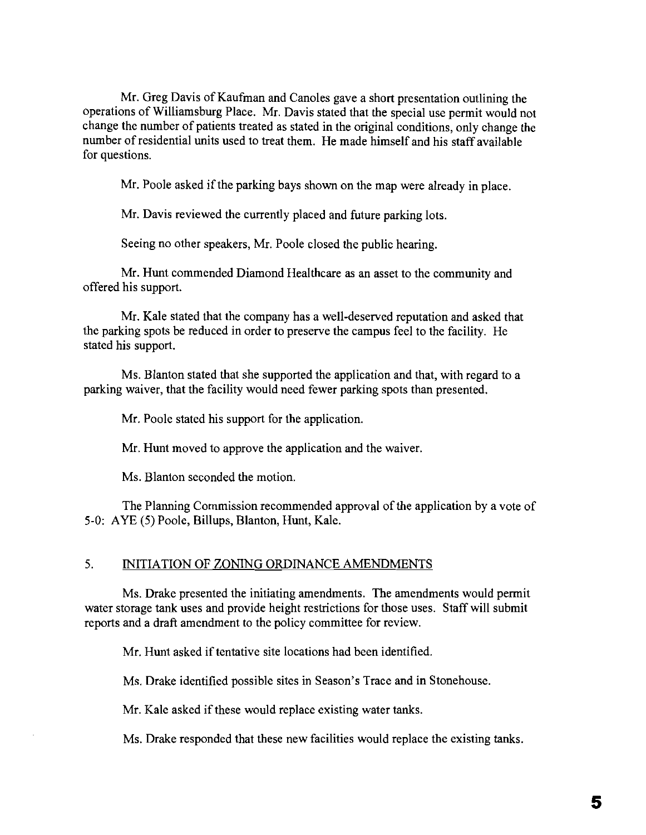Mr. Greg Davis of Kaufman and Canoles gave a short presentation outlining the operations of Williamsburg Place. Mr. Davis stated that the special use permit would not change the number of patients treated as stated in the original conditions, only change the number of residential units used to treat them. He made himself and his staff available for questions.

Mr. Poole asked if the parking bays shown on the map were already in place.

Mr. Davis reviewed the currently placed and future parking lots.

Seeing no other speakers, Mr. Poole closed the public hearing.

Mr. Hunt commended Diamond Healthcare as an asset to the community and offered his support.

Mr. Kale stated that the company has a well-deserved reputation and asked that the parking spots be reduced in order to preserve the campus feel to the facility. He stated his support.

Ms. Blanton stated that she supported the application and that, with regard to a parking waiver, that the facility would need fewer parking spots than presented.

Mr. Poole stated his support for the application.

Mr. Hunt moved to approve the application and the waiver.

Ms. Blanton seconded the motion.

The Planning Commission recommended approval of the application by a vote of 5-0: AYE (5) Poole, Billups, Blanton, Hunt, Kale.

#### 5. INITIATION OF ZONING ORDINANCE AMENDMENTS

Ms. Drake presented the initiating amendments. The amendments would permit water storage tank uses and provide height restrictions for those uses. Staff will submit reports and a draft amendment to the policy committee for review.

Mr. Hunt asked if tentative site locations had been identified.

Ms. Drake identified possible sites in Season's Trace and in Stonehouse.

Mr. Kale asked if these would replace existing water tanks.

Ms. Drake responded that these new facilities would replace the existing tanks.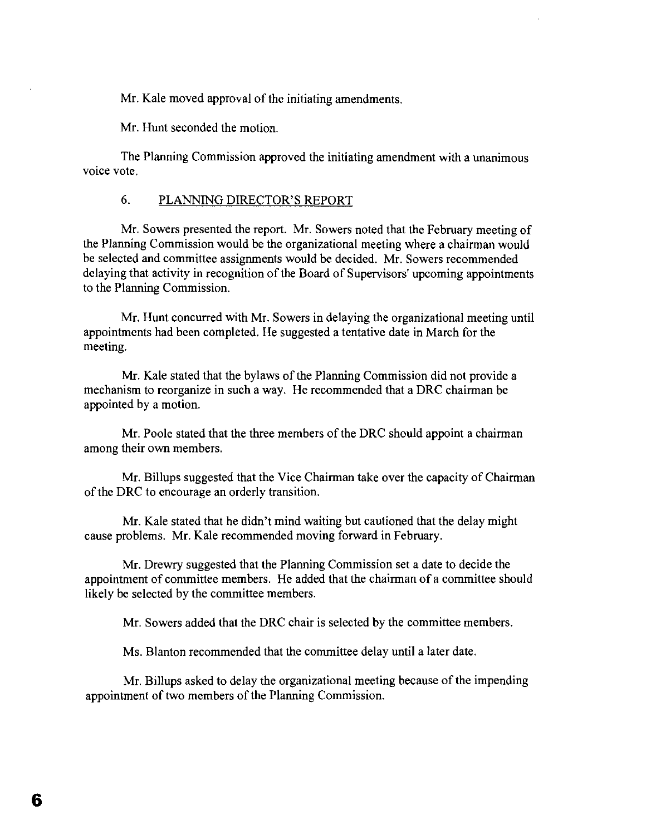Mr. Kale moved approval of the initiating amendments.

Mr. Hunt seconded the motion.

The Planning Commission approved the initiating amendment with a unanimous voice vote.

#### 6. PLANNING DIRECTOR'S REPORT

Mr. Sowers presented the report. Mr. Sowers noted that the February meeting of the Planning Commission would be the organizational meeting where a chairman would be selected and committee assignments would be decided. Mr. Sowers recommended delaying that activity in recognition of the Board of Supervisors' upcoming appointments to the Planning Commission.

Mr. Hunt concurred with Mr. Sowers in delaying the organizational meeting until appointments had been completed. He suggested a tentative date in March for the meeting.

Mr. Kale stated that the bylaws of the Planning Commission did not provide a mechanism to reorganize in such a way. He recommended that a DRC chairman be appointed by a motion.

Mr. Poole stated that the three members of the DRC should appoint a chairman among their own members.

Mr. Billups suggested that the Vice Chairman take over the capacity of Chairman of the DRC to encourage an orderly transition.

Mr. Kale stated that he didn't mind waiting but cautioned that the delay might cause problems. Mr. Kale recommended moving forward in February.

Mr. Drewry suggested that the Planning Commission set a date to decide the appointment of committee members. He added that the chairman of a committee should likely be selected by the committee members.

Mr. Sowers added that the DRC chair is selected by the committee members.

Ms. Blanton recommended that the committee delay until a later date.

Mr. Billups asked to delay the organizational meeting because of the impending appointment of two members of the Planning Commission.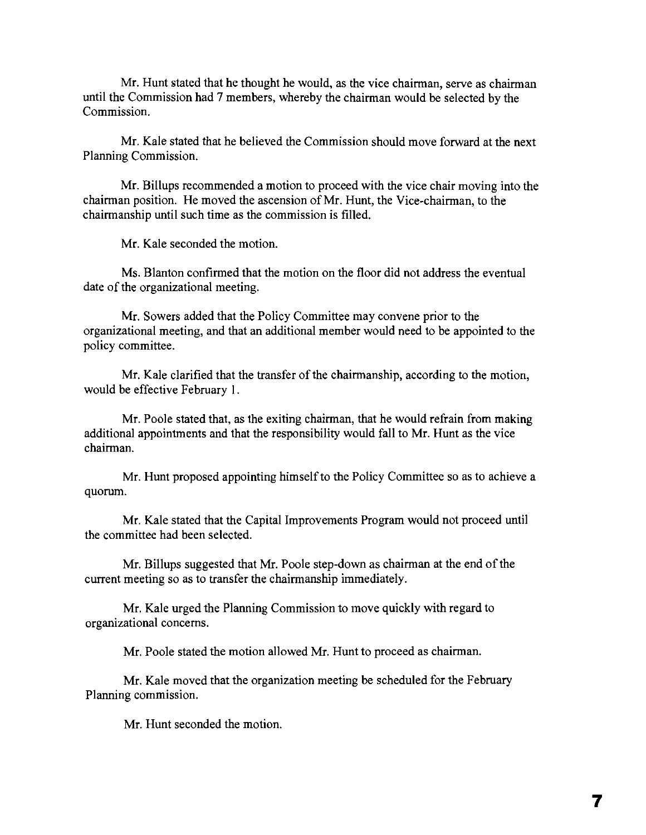Mr. Hunt stated that he thought he would, as the vice chairman, serve as chairman until the Commission had 7 members, whereby the chairman would be selected by the Commission.

Mr. Kale stated that he believed the Commission should move forward at the next Planning Commission.

Mr. Billups recommended a motion to proceed with the vice chair moving into the chairman position. He moved the ascension ofMr. Hunt, the Vice-chairman, to the chairmanship until such time as the commission is filled.

Mr. Kale seconded the motion.

Ms. Blanton confirmed that the motion on the floor did not address the eventual date of the organizational meeting.

Mr. Sowers added that the Policy Committee may convene prior to the organizational meeting, and that an additional member would need to be appointed to the policy committee.

Mr. Kale clarified that the transfer of the chairmanship, according to the motion, would be effective February I.

Mr. Poole stated that. as the exiting chairman, that he would refrain from making additional appointments and that the responsibility would fall to Mr. Hunt as the vice chairman.

Mr. Hunt proposed appointing himself to the Policy Committee so as to achieve a quorum.

Mr. Kale stated that the Capital Improvements Program would not proceed until the committee had been selected.

Mr. Billups suggested that Mr. Poole step-down as chairman at the end of the current meeting so as to transfer the chairmanship immediately.

Mr. Kale urged the Planning Commission to move quickly with regard to organizational concerns.

Mr. Poole stated the motion allowed Mr. Hunt to proceed as chairman,

Mr. Kale moved that the organization meeting be scheduled for the February Planning commission.

Mr. Hunt seconded the motion.